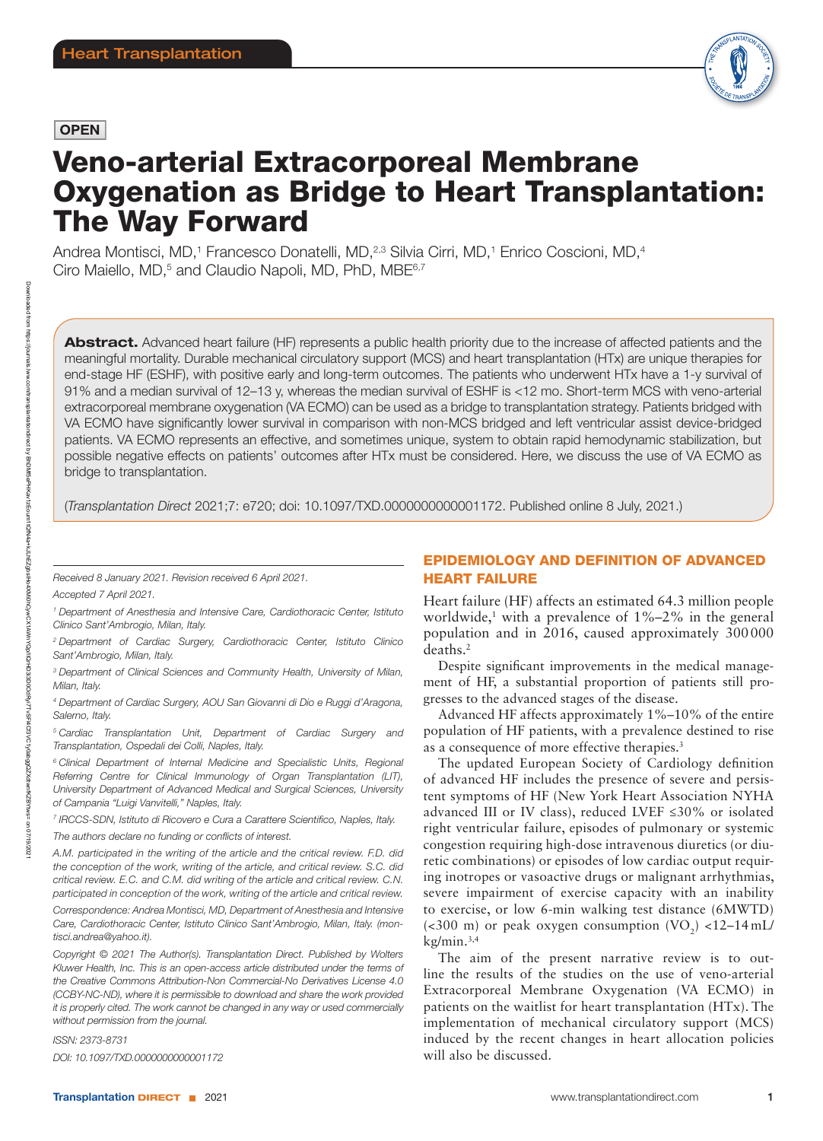## **OPEN**



# Veno-arterial Extracorporeal Membrane Oxygenation as Bridge to Heart Transplantation: The Way Forward

Andrea Montisci, MD,<sup>1</sup> Francesco Donatelli, MD,<sup>2,3</sup> Silvia Cirri, MD,<sup>1</sup> Enrico Coscioni, MD,<sup>4</sup> Ciro Maiello, MD,<sup>5</sup> and Claudio Napoli, MD, PhD, MBE<sup>6,7</sup>

Abstract. Advanced heart failure (HF) represents a public health priority due to the increase of affected patients and the meaningful mortality. Durable mechanical circulatory support (MCS) and heart transplantation (HTx) are unique therapies for end-stage HF (ESHF), with positive early and long-term outcomes. The patients who underwent HTx have a 1-y survival of 91% and a median survival of 12–13 y, whereas the median survival of ESHF is <12 mo. Short-term MCS with veno-arterial extracorporeal membrane oxygenation (VA ECMO) can be used as a bridge to transplantation strategy. Patients bridged with VA ECMO have significantly lower survival in comparison with non-MCS bridged and left ventricular assist device-bridged patients. VA ECMO represents an effective, and sometimes unique, system to obtain rapid hemodynamic stabilization, but possible negative effects on patients' outcomes after HTx must be considered. Here, we discuss the use of VA ECMO as bridge to transplantation.

(*Transplantation Direct* 2021;7: e720; doi: 10.1097/TXD.0000000000001172. Published online 8 July, 2021.)

*Received 8 January 2021. Revision received 6 April 2021. Accepted 7 April 2021.*

*<sup>1</sup> Department of Anesthesia and Intensive Care, Cardiothoracic Center, Istituto Clinico Sant'Ambrogio, Milan, Italy.*

*<sup>2</sup> Department of Cardiac Surgery, Cardiothoracic Center, Istituto Clinico Sant'Ambrogio, Milan, Italy.*

*<sup>3</sup> Department of Clinical Sciences and Community Health, University of Milan, Milan, Italy.*

*<sup>4</sup> Department of Cardiac Surgery, AOU San Giovanni di Dio e Ruggi d'Aragona, Salerno, Italy.*

*<sup>5</sup> Cardiac Transplantation Unit, Department of Cardiac Surgery and Transplantation, Ospedali dei Colli, Naples, Italy.*

*<sup>6</sup> Clinical Department of Internal Medicine and Specialistic Units, Regional Referring Centre for Clinical Immunology of Organ Transplantation (LIT), University Department of Advanced Medical and Surgical Sciences, University of Campania "Luigi Vanvitelli," Naples, Italy.*

*<sup>7</sup> IRCCS-SDN, Istituto di Ricovero e Cura a Carattere Scientifico, Naples, Italy.*

*The authors declare no funding or conflicts of interest.*

*A.M. participated in the writing of the article and the critical review. F.D. did the conception of the work, writing of the article, and critical review. S.C. did critical review. E.C. and C.M. did writing of the article and critical review. C.N. participated in conception of the work, writing of the article and critical review.*

*Correspondence: Andrea Montisci, MD, Department of Anesthesia and Intensive Care, Cardiothoracic Center, Istituto Clinico Sant'Ambrogio, Milan, Italy. ([mon](mailto:montisci.andrea@yahoo.it))[tisci.andrea@yahoo.it\).](mailto:montisci.andrea@yahoo.it))*

*Copyright © 2021 The Author(s). Transplantation Direct. Published by Wolters Kluwer Health, Inc. This is an open-access article distributed under the terms of the [Creative Commons Attribution-Non Commercial-No Derivatives License 4.0](http://creativecommons.org/licenses/by-nc-nd/4.0/)  [\(CCBY-NC-ND\),](http://creativecommons.org/licenses/by-nc-nd/4.0/) where it is permissible to download and share the work provided it is properly cited. The work cannot be changed in any way or used commercially without permission from the journal.*

*ISSN: 2373-8731 DOI: 10.1097/TXD.0000000000001172*

Downloaded

# EPIDEMIOLOGY AND DEFINITION OF ADVANCED HEART FAILURE

Heart failure (HF) affects an estimated 64.3 million people worldwide,<sup>1</sup> with a prevalence of  $1\% - 2\%$  in the general population and in 2016, caused approximately 300000 deaths.2

Despite significant improvements in the medical management of HF, a substantial proportion of patients still progresses to the advanced stages of the disease.

Advanced HF affects approximately 1%–10% of the entire population of HF patients, with a prevalence destined to rise as a consequence of more effective therapies.3

The updated European Society of Cardiology definition of advanced HF includes the presence of severe and persistent symptoms of HF (New York Heart Association NYHA advanced III or IV class), reduced LVEF ≤30% or isolated right ventricular failure, episodes of pulmonary or systemic congestion requiring high-dose intravenous diuretics (or diuretic combinations) or episodes of low cardiac output requiring inotropes or vasoactive drugs or malignant arrhythmias, severe impairment of exercise capacity with an inability to exercise, or low 6-min walking test distance (6MWTD) (<300 m) or peak oxygen consumption  $(VO_2)$  <12-14 mL/  $kg/min.<sup>3,4</sup>$ 

The aim of the present narrative review is to outline the results of the studies on the use of veno-arterial Extracorporeal Membrane Oxygenation (VA ECMO) in patients on the waitlist for heart transplantation (HTx). The implementation of mechanical circulatory support (MCS) induced by the recent changes in heart allocation policies will also be discussed.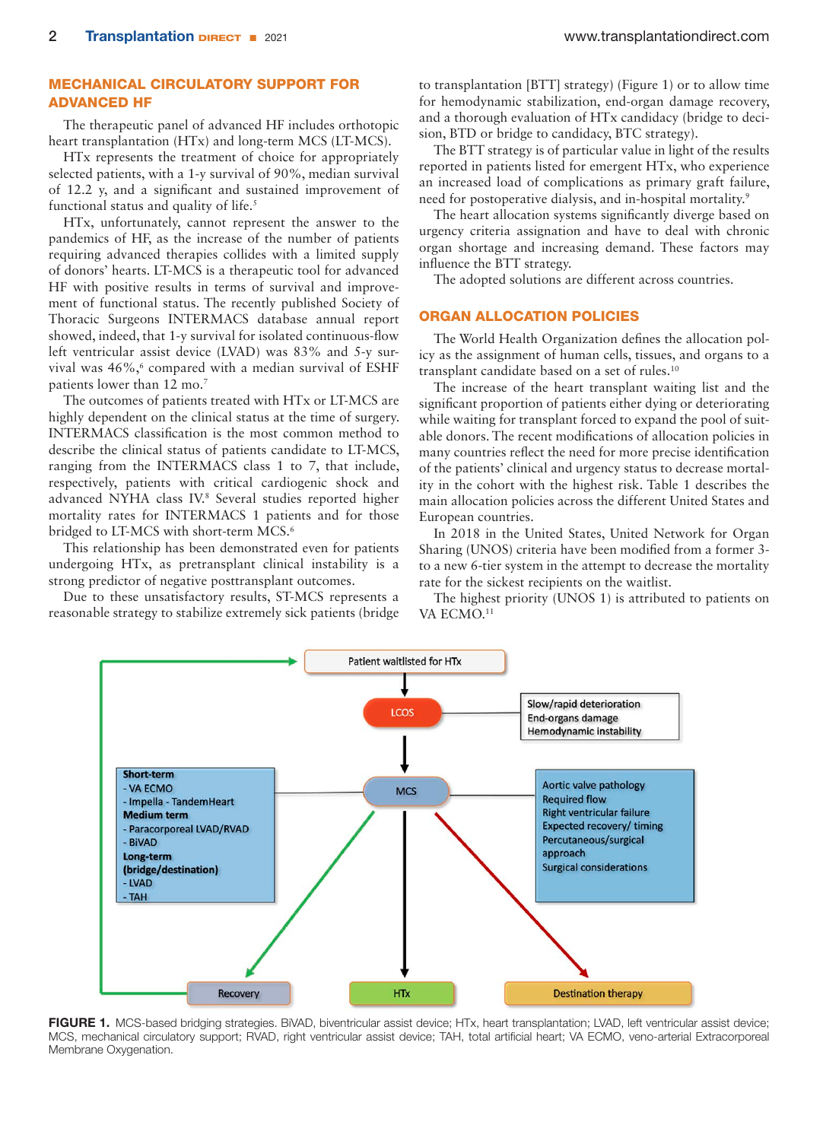## MECHANICAL CIRCULATORY SUPPORT FOR ADVANCED HF

The therapeutic panel of advanced HF includes orthotopic heart transplantation (HTx) and long-term MCS (LT-MCS).

HTx represents the treatment of choice for appropriately selected patients, with a 1-y survival of 90%, median survival of 12.2 y, and a significant and sustained improvement of functional status and quality of life.<sup>5</sup>

HTx, unfortunately, cannot represent the answer to the pandemics of HF, as the increase of the number of patients requiring advanced therapies collides with a limited supply of donors' hearts. LT-MCS is a therapeutic tool for advanced HF with positive results in terms of survival and improvement of functional status. The recently published Society of Thoracic Surgeons INTERMACS database annual report showed, indeed, that 1-y survival for isolated continuous-flow left ventricular assist device (LVAD) was 83% and 5-y survival was 46%,<sup>6</sup> compared with a median survival of ESHF patients lower than 12 mo.<sup>7</sup>

The outcomes of patients treated with HTx or LT-MCS are highly dependent on the clinical status at the time of surgery. INTERMACS classification is the most common method to describe the clinical status of patients candidate to LT-MCS, ranging from the INTERMACS class 1 to 7, that include, respectively, patients with critical cardiogenic shock and advanced NYHA class IV.8 Several studies reported higher mortality rates for INTERMACS 1 patients and for those bridged to LT-MCS with short-term MCS.<sup>6</sup>

This relationship has been demonstrated even for patients undergoing HTx, as pretransplant clinical instability is a strong predictor of negative posttransplant outcomes.

Due to these unsatisfactory results, ST-MCS represents a reasonable strategy to stabilize extremely sick patients (bridge to transplantation [BTT] strategy) (Figure 1) or to allow time for hemodynamic stabilization, end-organ damage recovery, and a thorough evaluation of HTx candidacy (bridge to decision, BTD or bridge to candidacy, BTC strategy).

The BTT strategy is of particular value in light of the results reported in patients listed for emergent HTx, who experience an increased load of complications as primary graft failure, need for postoperative dialysis, and in-hospital mortality.9

The heart allocation systems significantly diverge based on urgency criteria assignation and have to deal with chronic organ shortage and increasing demand. These factors may influence the BTT strategy.

The adopted solutions are different across countries.

## ORGAN ALLOCATION POLICIES

The World Health Organization defines the allocation policy as the assignment of human cells, tissues, and organs to a transplant candidate based on a set of rules.10

The increase of the heart transplant waiting list and the significant proportion of patients either dying or deteriorating while waiting for transplant forced to expand the pool of suitable donors. The recent modifications of allocation policies in many countries reflect the need for more precise identification of the patients' clinical and urgency status to decrease mortality in the cohort with the highest risk. Table 1 describes the main allocation policies across the different United States and European countries.

In 2018 in the United States, United Network for Organ Sharing (UNOS) criteria have been modified from a former 3 to a new 6-tier system in the attempt to decrease the mortality rate for the sickest recipients on the waitlist.

The highest priority (UNOS 1) is attributed to patients on VA ECMO.<sup>11</sup>



FIGURE 1. MCS-based bridging strategies. BiVAD, biventricular assist device; HTx, heart transplantation; LVAD, left ventricular assist device; MCS, mechanical circulatory support; RVAD, right ventricular assist device; TAH, total artificial heart; VA ECMO, veno-arterial Extracorporeal Membrane Oxygenation.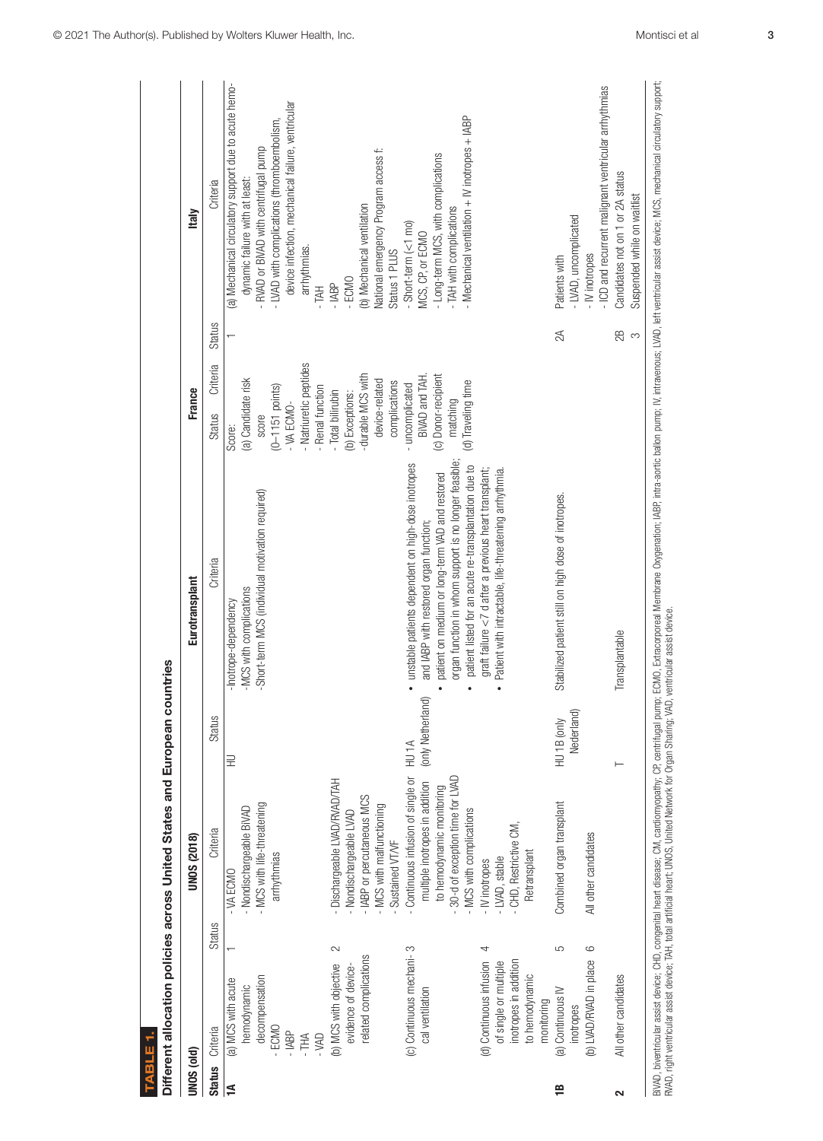| UNOS (old)    |                                                                                                                                                                                                                                                                                                                                              |                                                              | UNOS (2018)                                                                                                                                                                                                                                                                                                                                                                                                     |                                              | Eurotransplant                                                                                                                                                                                                                                                                                                                                                                                                                                                                               | France                                                                                                                                                                                                                                                                                                                |               | Italy                                                                                                                                                                                                                                                                                                                                                                                                                                                                                                                           |
|---------------|----------------------------------------------------------------------------------------------------------------------------------------------------------------------------------------------------------------------------------------------------------------------------------------------------------------------------------------------|--------------------------------------------------------------|-----------------------------------------------------------------------------------------------------------------------------------------------------------------------------------------------------------------------------------------------------------------------------------------------------------------------------------------------------------------------------------------------------------------|----------------------------------------------|----------------------------------------------------------------------------------------------------------------------------------------------------------------------------------------------------------------------------------------------------------------------------------------------------------------------------------------------------------------------------------------------------------------------------------------------------------------------------------------------|-----------------------------------------------------------------------------------------------------------------------------------------------------------------------------------------------------------------------------------------------------------------------------------------------------------------------|---------------|---------------------------------------------------------------------------------------------------------------------------------------------------------------------------------------------------------------------------------------------------------------------------------------------------------------------------------------------------------------------------------------------------------------------------------------------------------------------------------------------------------------------------------|
| <b>Status</b> | Criteria                                                                                                                                                                                                                                                                                                                                     | Status                                                       | Criteria                                                                                                                                                                                                                                                                                                                                                                                                        | <b>Status</b>                                | Criteria                                                                                                                                                                                                                                                                                                                                                                                                                                                                                     | Criteria<br><b>Status</b>                                                                                                                                                                                                                                                                                             | <b>Status</b> | Criteria                                                                                                                                                                                                                                                                                                                                                                                                                                                                                                                        |
| ≨             | 2<br>(c) Continuous mechani-3<br>4<br>related complications<br>inotropes in addition<br>(d) Continuous infusion<br>of single or multiple<br>(b) MCS with objective<br>evidence of device-<br>decompensation<br>to hemodynamic<br>(a) MCS with acute<br>hemodynamic<br>cal ventilation<br>monitoring<br>$-ECMO$<br>$- IABP$<br>$-THA$<br>-VAD | arrhythmias<br>- LVAD, stable<br>- IV inotropes<br>- VA ECMO | Continuous infusion of single or HU 1A<br>30-d of exception time for LVAD<br>Dischargeable LVAD/RVAD/TAH<br>multiple inotropes in addition<br>to hemodynamic monitoring<br>- IABP or percutaneous MCS<br>- MCS with life-threatening<br>- MCS with malfunctioning<br>- Nondischargeable BIVAD<br>- MCS with complications<br>- Nondischargeable LVAD<br>CHD, Restrictive CM,<br>Sustained VT/VF<br>Retransplant | (only Netherland)<br>呈                       | organ function in whom support is no longer feasible;<br>unstable patients dependent on high-dose inotropes<br>patient listed for an acute re-transplantation due to<br>graft failure $<$ 7 d after a previous heart transplant;<br>Patient with intractable, life-threatening arrhythmia.<br>patient on medium or long-term VAD and restored<br>Short-term MCS (individual motivation required)<br>and IABP with restored organ function;<br>MCS with complications<br>-Inotrope-dependency | - Natriuretic peptides<br>-durable MCS with<br>(c) Donor-recipient<br>BIVAD and TAH<br>(a) Candidate risk<br>device-related<br>(d) Traveling time<br>complications<br>- uncomplicated<br>$(0 - 1151$ points)<br>- Renal function<br>- Total bilirubin<br>(b) Exceptions:<br>- VA ECMO-<br>matching<br>score<br>Score: |               | (a) Mechanical circulatory support due to acute hemo-<br>device infection, mechanical failure, ventricular<br>Mechanical ventilation + IV inotropes + IABP<br>- LVAD with complications (thromboembolism,<br>- RVAD or BIVAD with centrifugal pump<br>National emergency Program access f:<br>Long-term MCS, with complications<br>dynamic failure with at least:<br>b) Mechanical ventilation<br>TAH with complications<br>Short-term (<1 mo)<br>MCS, CP, or ECMO<br>arrhythmias.<br>Status 1 PLUS<br>ECMO<br>$- IABP$<br>$-T$ |
| ≘             | 5<br>6<br>(b) LVAD/RVAD in place<br>(a) Continuous IV<br>inotropes                                                                                                                                                                                                                                                                           |                                                              | Combined organ transplant<br>All other candidates                                                                                                                                                                                                                                                                                                                                                               | derland)<br>(only<br>HU <sub>1B</sub><br>Jec | Stabilized patient still on high dose of inotropes.                                                                                                                                                                                                                                                                                                                                                                                                                                          |                                                                                                                                                                                                                                                                                                                       | $\approx$     | LVAD, uncomplicated<br>IV inotropes<br>Patients with                                                                                                                                                                                                                                                                                                                                                                                                                                                                            |
| 2             | All other candidates                                                                                                                                                                                                                                                                                                                         |                                                              |                                                                                                                                                                                                                                                                                                                                                                                                                 |                                              | Transplantable                                                                                                                                                                                                                                                                                                                                                                                                                                                                               |                                                                                                                                                                                                                                                                                                                       | 28<br>S       | - ICD and recurrent malignant ventricular arrhythmias<br>Candidates not on 1 or 2A status<br>Suspended while on waitlist                                                                                                                                                                                                                                                                                                                                                                                                        |

© 2021 The Author(s). Published by Wolters Kluwer Health, Inc. <br>
3

**TABLE 1.**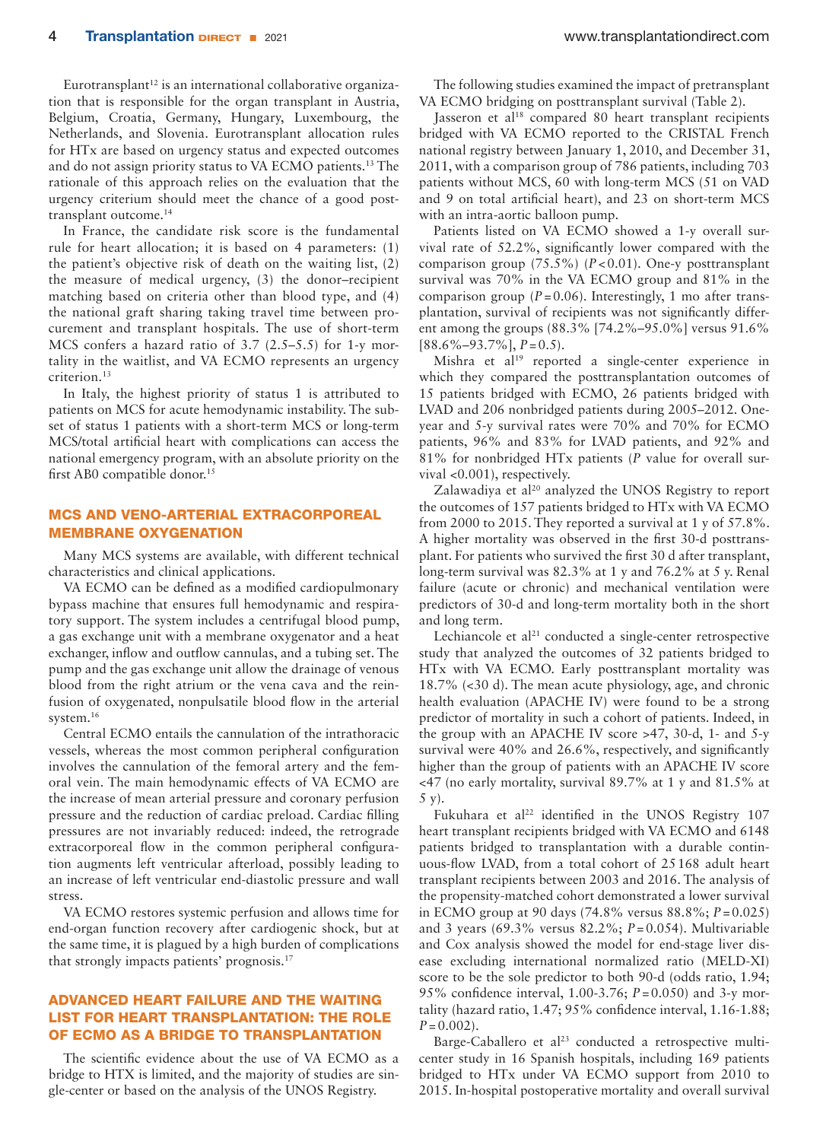Eurotransplant<sup>12</sup> is an international collaborative organization that is responsible for the organ transplant in Austria, Belgium, Croatia, Germany, Hungary, Luxembourg, the Netherlands, and Slovenia. Eurotransplant allocation rules for HTx are based on urgency status and expected outcomes and do not assign priority status to VA ECMO patients.13 The rationale of this approach relies on the evaluation that the urgency criterium should meet the chance of a good posttransplant outcome.14

In France, the candidate risk score is the fundamental rule for heart allocation; it is based on 4 parameters: (1) the patient's objective risk of death on the waiting list, (2) the measure of medical urgency, (3) the donor–recipient matching based on criteria other than blood type, and (4) the national graft sharing taking travel time between procurement and transplant hospitals. The use of short-term MCS confers a hazard ratio of 3.7 (2.5–5.5) for 1-y mortality in the waitlist, and VA ECMO represents an urgency criterion.13

In Italy, the highest priority of status 1 is attributed to patients on MCS for acute hemodynamic instability. The subset of status 1 patients with a short-term MCS or long-term MCS/total artificial heart with complications can access the national emergency program, with an absolute priority on the first AB0 compatible donor.<sup>15</sup>

## MCS AND VENO-ARTERIAL EXTRACORPOREAL MEMBRANE OXYGENATION

Many MCS systems are available, with different technical characteristics and clinical applications.

VA ECMO can be defined as a modified cardiopulmonary bypass machine that ensures full hemodynamic and respiratory support. The system includes a centrifugal blood pump, a gas exchange unit with a membrane oxygenator and a heat exchanger, inflow and outflow cannulas, and a tubing set. The pump and the gas exchange unit allow the drainage of venous blood from the right atrium or the vena cava and the reinfusion of oxygenated, nonpulsatile blood flow in the arterial system.<sup>16</sup>

Central ECMO entails the cannulation of the intrathoracic vessels, whereas the most common peripheral configuration involves the cannulation of the femoral artery and the femoral vein. The main hemodynamic effects of VA ECMO are the increase of mean arterial pressure and coronary perfusion pressure and the reduction of cardiac preload. Cardiac filling pressures are not invariably reduced: indeed, the retrograde extracorporeal flow in the common peripheral configuration augments left ventricular afterload, possibly leading to an increase of left ventricular end-diastolic pressure and wall stress.

VA ECMO restores systemic perfusion and allows time for end-organ function recovery after cardiogenic shock, but at the same time, it is plagued by a high burden of complications that strongly impacts patients' prognosis.17

# ADVANCED HEART FAILURE AND THE WAITING LIST FOR HEART TRANSPLANTATION: THE ROLE OF ECMO AS A BRIDGE TO TRANSPLANTATION

The scientific evidence about the use of VA ECMO as a bridge to HTX is limited, and the majority of studies are single-center or based on the analysis of the UNOS Registry.

The following studies examined the impact of pretransplant VA ECMO bridging on posttransplant survival (Table 2).

Jasseron et al<sup>18</sup> compared 80 heart transplant recipients bridged with VA ECMO reported to the CRISTAL French national registry between January 1, 2010, and December 31, 2011, with a comparison group of 786 patients, including 703 patients without MCS, 60 with long-term MCS (51 on VAD and 9 on total artificial heart), and 23 on short-term MCS with an intra-aortic balloon pump.

Patients listed on VA ECMO showed a 1-y overall survival rate of 52.2%, significantly lower compared with the comparison group (75.5%) (*P*<0.01). One-y posttransplant survival was 70% in the VA ECMO group and 81% in the comparison group  $(P=0.06)$ . Interestingly, 1 mo after transplantation, survival of recipients was not significantly different among the groups (88.3% [74.2%–95.0%] versus 91.6% [88.6%–93.7%], *P*=0.5).

Mishra et al<sup>19</sup> reported a single-center experience in which they compared the posttransplantation outcomes of 15 patients bridged with ECMO, 26 patients bridged with LVAD and 206 nonbridged patients during 2005–2012. Oneyear and 5-y survival rates were 70% and 70% for ECMO patients, 96% and 83% for LVAD patients, and 92% and 81% for nonbridged HTx patients (*P* value for overall survival <0.001), respectively.

Zalawadiya et al<sup>20</sup> analyzed the UNOS Registry to report the outcomes of 157 patients bridged to HTx with VA ECMO from 2000 to 2015. They reported a survival at 1 y of 57.8%. A higher mortality was observed in the first 30-d posttransplant. For patients who survived the first 30 d after transplant, long-term survival was 82.3% at 1 y and 76.2% at 5 y. Renal failure (acute or chronic) and mechanical ventilation were predictors of 30-d and long-term mortality both in the short and long term.

Lechiancole et al<sup>21</sup> conducted a single-center retrospective study that analyzed the outcomes of 32 patients bridged to HTx with VA ECMO. Early posttransplant mortality was 18.7% (<30 d). The mean acute physiology, age, and chronic health evaluation (APACHE IV) were found to be a strong predictor of mortality in such a cohort of patients. Indeed, in the group with an APACHE IV score >47, 30-d, 1- and 5-y survival were 40% and 26.6%, respectively, and significantly higher than the group of patients with an APACHE IV score <47 (no early mortality, survival 89.7% at 1 y and 81.5% at 5 y).

Fukuhara et al<sup>22</sup> identified in the UNOS Registry  $107$ heart transplant recipients bridged with VA ECMO and 6148 patients bridged to transplantation with a durable continuous-flow LVAD, from a total cohort of 25168 adult heart transplant recipients between 2003 and 2016. The analysis of the propensity-matched cohort demonstrated a lower survival in ECMO group at 90 days (74.8% versus 88.8%; *P*=0.025) and 3 years (69.3% versus 82.2%; *P*=0.054). Multivariable and Cox analysis showed the model for end-stage liver disease excluding international normalized ratio (MELD-XI) score to be the sole predictor to both 90-d (odds ratio, 1.94; 95% confidence interval, 1.00-3.76; *P*=0.050) and 3-y mortality (hazard ratio, 1.47; 95% confidence interval, 1.16-1.88;  $P = 0.002$ .

Barge-Caballero et al<sup>23</sup> conducted a retrospective multicenter study in 16 Spanish hospitals, including 169 patients bridged to HTx under VA ECMO support from 2010 to 2015. In-hospital postoperative mortality and overall survival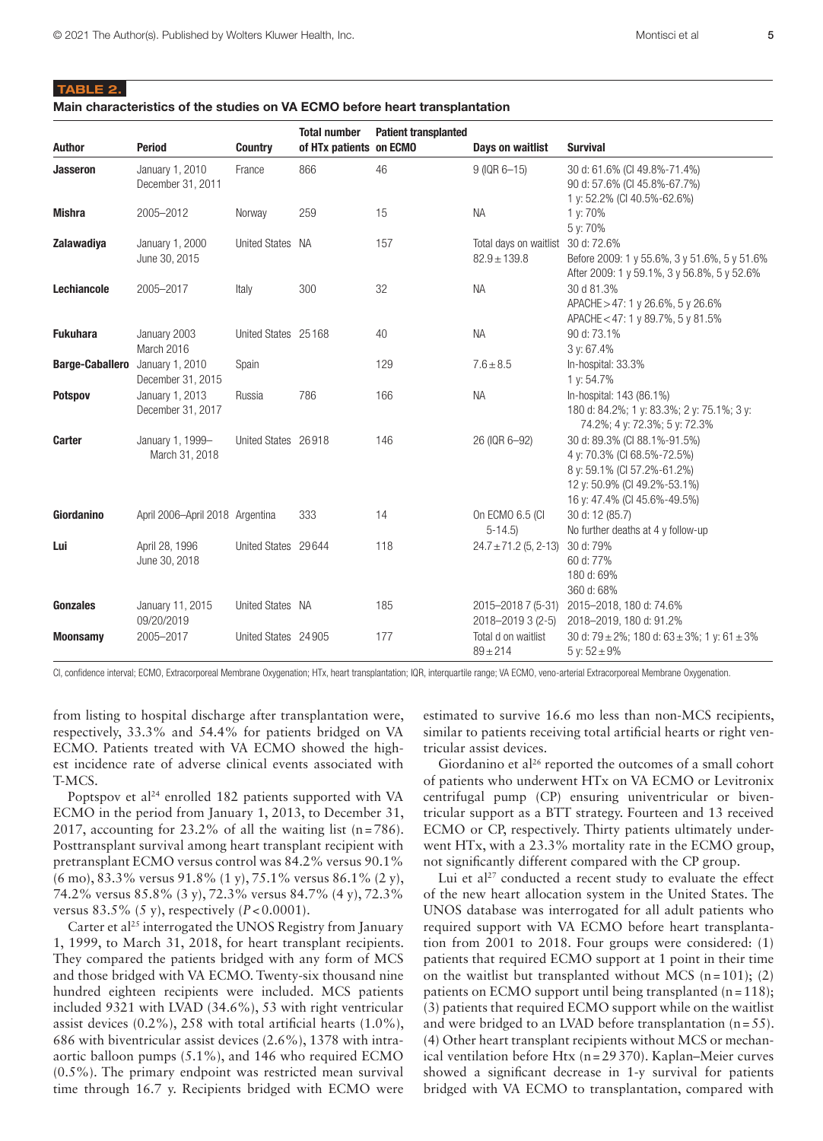| Main characteristics of the studies on VA ECMO before heart transplantation |  |  |  |  |  |  |
|-----------------------------------------------------------------------------|--|--|--|--|--|--|
|-----------------------------------------------------------------------------|--|--|--|--|--|--|

| <b>Author</b>                   | <b>Period</b>                        | Country              | <b>Total number</b><br>of HTx patients on ECMO | <b>Patient transplanted</b> | <b>Days on waitlist</b>                    | <b>Survival</b>                                                                                                                                            |
|---------------------------------|--------------------------------------|----------------------|------------------------------------------------|-----------------------------|--------------------------------------------|------------------------------------------------------------------------------------------------------------------------------------------------------------|
| <b>Jasseron</b>                 | January 1, 2010<br>December 31, 2011 | France               | 866                                            | 46                          | 9 (IQR 6-15)                               | 30 d: 61.6% (CI 49.8%-71.4%)<br>90 d: 57.6% (CI 45.8%-67.7%)<br>1 y: 52.2% (CI 40.5%-62.6%)                                                                |
| <b>Mishra</b>                   | 2005-2012                            | Norway               | 259                                            | 15                          | <b>NA</b>                                  | 1 y: 70%<br>5 y: 70%                                                                                                                                       |
| Zalawadiya                      | January 1, 2000<br>June 30, 2015     | United States NA     |                                                | 157                         | Total days on waitlist<br>$82.9 \pm 139.8$ | 30 d: 72.6%<br>Before 2009: 1 y 55.6%, 3 y 51.6%, 5 y 51.6%<br>After 2009: 1 y 59.1%, 3 y 56.8%, 5 y 52.6%                                                 |
| Lechiancole                     | 2005-2017                            | Italy                | 300                                            | 32                          | <b>NA</b>                                  | 30 d 81.3%<br>APACHE > 47: 1 y 26.6%, 5 y 26.6%<br>APACHE < 47: 1 y 89.7%, 5 y 81.5%                                                                       |
| <b>Fukuhara</b>                 | January 2003<br>March 2016           | United States 25168  |                                                | 40                          | <b>NA</b>                                  | 90 d: 73.1%<br>3 y: 67.4%                                                                                                                                  |
| Barge-Caballero January 1, 2010 | December 31, 2015                    | Spain                |                                                | 129                         | $7.6 \pm 8.5$                              | In-hospital: 33.3%<br>1 y: 54.7%                                                                                                                           |
| <b>Potspov</b>                  | January 1, 2013<br>December 31, 2017 | Russia               | 786                                            | 166                         | <b>NA</b>                                  | In-hospital: 143 (86.1%)<br>180 d: 84.2%; 1 y: 83.3%; 2 y: 75.1%; 3 y:<br>74.2%; 4 y: 72.3%; 5 y: 72.3%                                                    |
| Carter                          | January 1, 1999-<br>March 31, 2018   | United States 26918  |                                                | 146                         | 26 (IQR 6-92)                              | 30 d: 89.3% (CI 88.1%-91.5%)<br>4 y: 70.3% (CI 68.5%-72.5%)<br>8 y: 59.1% (CI 57.2%-61.2%)<br>12 y: 50.9% (CI 49.2%-53.1%)<br>16 y: 47.4% (CI 45.6%-49.5%) |
| Giordanino                      | April 2006-April 2018 Argentina      |                      | 333                                            | 14                          | On ECMO 6.5 (CI<br>$5 - 14.5$              | 30 d: 12 (85.7)<br>No further deaths at 4 y follow-up                                                                                                      |
| Lui                             | April 28, 1996<br>June 30, 2018      | United States 29644  |                                                | 118                         | $24.7 \pm 71.2$ (5, 2-13)                  | 30 d: 79%<br>60 d: 77%<br>180 d: 69%<br>360 d: 68%                                                                                                         |
| <b>Gonzales</b>                 | January 11, 2015<br>09/20/2019       | United States NA     |                                                | 185                         | 2015-2018 7 (5-31)<br>2018-2019 3 (2-5)    | 2015-2018, 180 d: 74.6%<br>2018-2019, 180 d: 91.2%                                                                                                         |
| <b>Moonsamy</b>                 | 2005-2017                            | United States 24 905 |                                                | 177                         | Total d on waitlist<br>$89 \pm 214$        | 30 d: $79 \pm 2\%$ ; 180 d: $63 \pm 3\%$ ; 1 y: $61 \pm 3\%$<br>5 y: $52 \pm 9\%$                                                                          |

CI, confidence interval; ECMO, Extracorporeal Membrane Oxygenation; HTx, heart transplantation; IQR, interquartile range; VA ECMO, veno-arterial Extracorporeal Membrane Oxygenation.

from listing to hospital discharge after transplantation were, respectively, 33.3% and 54.4% for patients bridged on VA ECMO. Patients treated with VA ECMO showed the highest incidence rate of adverse clinical events associated with T-MCS.

Poptspov et al<sup>24</sup> enrolled 182 patients supported with VA ECMO in the period from January 1, 2013, to December 31, 2017, accounting for 23.2% of all the waiting list (n=786). Posttransplant survival among heart transplant recipient with pretransplant ECMO versus control was 84.2% versus 90.1% (6 mo), 83.3% versus 91.8% (1 y), 75.1% versus 86.1% (2 y), 74.2% versus 85.8% (3 y), 72.3% versus 84.7% (4 y), 72.3% versus 83.5% (5 y), respectively (*P*<0.0001).

Carter et al<sup>25</sup> interrogated the UNOS Registry from January 1, 1999, to March 31, 2018, for heart transplant recipients. They compared the patients bridged with any form of MCS and those bridged with VA ECMO. Twenty-six thousand nine hundred eighteen recipients were included. MCS patients included 9321 with LVAD (34.6%), 53 with right ventricular assist devices (0.2%), 258 with total artificial hearts (1.0%), 686 with biventricular assist devices (2.6%), 1378 with intraaortic balloon pumps (5.1%), and 146 who required ECMO (0.5%). The primary endpoint was restricted mean survival time through 16.7 y. Recipients bridged with ECMO were

estimated to survive 16.6 mo less than non-MCS recipients, similar to patients receiving total artificial hearts or right ventricular assist devices.

Giordanino et al<sup>26</sup> reported the outcomes of a small cohort of patients who underwent HTx on VA ECMO or Levitronix centrifugal pump (CP) ensuring univentricular or biventricular support as a BTT strategy. Fourteen and 13 received ECMO or CP, respectively. Thirty patients ultimately underwent HTx, with a 23.3% mortality rate in the ECMO group, not significantly different compared with the CP group.

Lui et  $al^{27}$  conducted a recent study to evaluate the effect of the new heart allocation system in the United States. The UNOS database was interrogated for all adult patients who required support with VA ECMO before heart transplantation from 2001 to 2018. Four groups were considered: (1) patients that required ECMO support at 1 point in their time on the waitlist but transplanted without MCS  $(n=101)$ ;  $(2)$ patients on ECMO support until being transplanted (n=118); (3) patients that required ECMO support while on the waitlist and were bridged to an LVAD before transplantation  $(n=55)$ . (4) Other heart transplant recipients without MCS or mechanical ventilation before Htx (n=29370). Kaplan–Meier curves showed a significant decrease in 1-y survival for patients bridged with VA ECMO to transplantation, compared with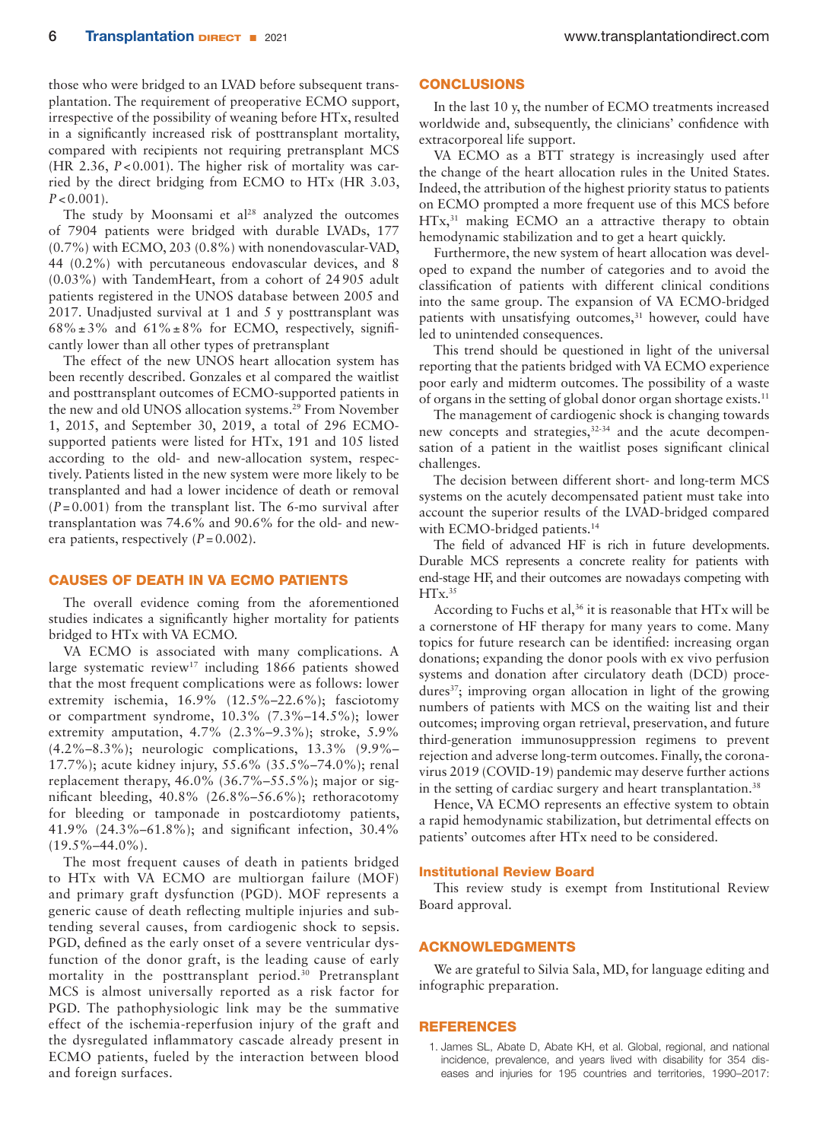those who were bridged to an LVAD before subsequent transplantation. The requirement of preoperative ECMO support, irrespective of the possibility of weaning before HTx, resulted in a significantly increased risk of posttransplant mortality, compared with recipients not requiring pretransplant MCS (HR 2.36, *P*<0.001). The higher risk of mortality was carried by the direct bridging from ECMO to HTx (HR 3.03,  $P < 0.001$ .

The study by Moonsami et al<sup>28</sup> analyzed the outcomes of 7904 patients were bridged with durable LVADs, 177 (0.7%) with ECMO, 203 (0.8%) with nonendovascular-VAD, 44 (0.2%) with percutaneous endovascular devices, and 8 (0.03%) with TandemHeart, from a cohort of 24905 adult patients registered in the UNOS database between 2005 and 2017. Unadjusted survival at 1 and 5 y posttransplant was  $68\% \pm 3\%$  and  $61\% \pm 8\%$  for ECMO, respectively, significantly lower than all other types of pretransplant

The effect of the new UNOS heart allocation system has been recently described. Gonzales et al compared the waitlist and posttransplant outcomes of ECMO-supported patients in the new and old UNOS allocation systems.<sup>29</sup> From November 1, 2015, and September 30, 2019, a total of 296 ECMOsupported patients were listed for HTx, 191 and 105 listed according to the old- and new-allocation system, respectively. Patients listed in the new system were more likely to be transplanted and had a lower incidence of death or removal  $(P=0.001)$  from the transplant list. The 6-mo survival after transplantation was 74.6% and 90.6% for the old- and newera patients, respectively (*P*=0.002).

## CAUSES OF DEATH IN VA ECMO PATIENTS

The overall evidence coming from the aforementioned studies indicates a significantly higher mortality for patients bridged to HTx with VA ECMO.

VA ECMO is associated with many complications. A large systematic review<sup>17</sup> including 1866 patients showed that the most frequent complications were as follows: lower extremity ischemia, 16.9% (12.5%–22.6%); fasciotomy or compartment syndrome, 10.3% (7.3%–14.5%); lower extremity amputation, 4.7% (2.3%–9.3%); stroke, 5.9% (4.2%–8.3%); neurologic complications, 13.3% (9.9%– 17.7%); acute kidney injury, 55.6% (35.5%–74.0%); renal replacement therapy,  $46.0\%$   $(36.7\% - 55.5\%)$ ; major or significant bleeding, 40.8% (26.8%–56.6%); rethoracotomy for bleeding or tamponade in postcardiotomy patients, 41.9% (24.3%–61.8%); and significant infection, 30.4%  $(19.5\% - 44.0\%)$ .

The most frequent causes of death in patients bridged to HTx with VA ECMO are multiorgan failure (MOF) and primary graft dysfunction (PGD). MOF represents a generic cause of death reflecting multiple injuries and subtending several causes, from cardiogenic shock to sepsis. PGD, defined as the early onset of a severe ventricular dysfunction of the donor graft, is the leading cause of early mortality in the posttransplant period.<sup>30</sup> Pretransplant MCS is almost universally reported as a risk factor for PGD. The pathophysiologic link may be the summative effect of the ischemia-reperfusion injury of the graft and the dysregulated inflammatory cascade already present in ECMO patients, fueled by the interaction between blood and foreign surfaces.

#### **CONCLUSIONS**

In the last 10 y, the number of ECMO treatments increased worldwide and, subsequently, the clinicians' confidence with extracorporeal life support.

VA ECMO as a BTT strategy is increasingly used after the change of the heart allocation rules in the United States. Indeed, the attribution of the highest priority status to patients on ECMO prompted a more frequent use of this MCS before HTx,<sup>31</sup> making ECMO an a attractive therapy to obtain hemodynamic stabilization and to get a heart quickly.

Furthermore, the new system of heart allocation was developed to expand the number of categories and to avoid the classification of patients with different clinical conditions into the same group. The expansion of VA ECMO-bridged patients with unsatisfying outcomes,<sup>31</sup> however, could have led to unintended consequences.

This trend should be questioned in light of the universal reporting that the patients bridged with VA ECMO experience poor early and midterm outcomes. The possibility of a waste of organs in the setting of global donor organ shortage exists.11

The management of cardiogenic shock is changing towards new concepts and strategies,<sup>32-34</sup> and the acute decompensation of a patient in the waitlist poses significant clinical challenges.

The decision between different short- and long-term MCS systems on the acutely decompensated patient must take into account the superior results of the LVAD-bridged compared with ECMO-bridged patients.<sup>14</sup>

The field of advanced HF is rich in future developments. Durable MCS represents a concrete reality for patients with end-stage HF, and their outcomes are nowadays competing with  $HTx.<sup>35</sup>$ 

According to Fuchs et al,<sup>36</sup> it is reasonable that HTx will be a cornerstone of HF therapy for many years to come. Many topics for future research can be identified: increasing organ donations; expanding the donor pools with ex vivo perfusion systems and donation after circulatory death (DCD) procedures $37$ ; improving organ allocation in light of the growing numbers of patients with MCS on the waiting list and their outcomes; improving organ retrieval, preservation, and future third-generation immunosuppression regimens to prevent rejection and adverse long-term outcomes. Finally, the coronavirus 2019 (COVID-19) pandemic may deserve further actions in the setting of cardiac surgery and heart transplantation.<sup>38</sup>

Hence, VA ECMO represents an effective system to obtain a rapid hemodynamic stabilization, but detrimental effects on patients' outcomes after HTx need to be considered.

#### Institutional Review Board

This review study is exempt from Institutional Review Board approval.

#### ACKNOWLEDGMENTS

We are grateful to Silvia Sala, MD, for language editing and infographic preparation.

#### REFERENCES

1. James SL, Abate D, Abate KH, et al. Global, regional, and national incidence, prevalence, and years lived with disability for 354 diseases and injuries for 195 countries and territories, 1990–2017: